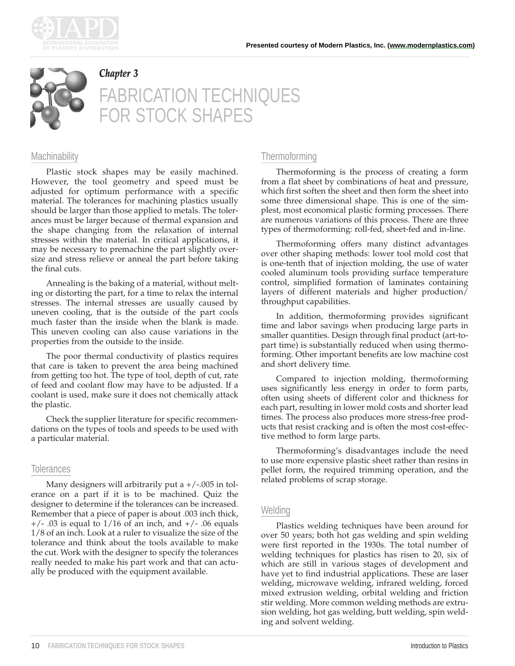



#### *Chapter 3*

# FABRICATION TECHNIQUES OR STOCK SHAPES

#### **Machinability**

Plastic stock shapes may be easily machined. However, the tool geometry and speed must be adjusted for optimum performance with a specific material. The tolerances for machining plastics usually should be larger than those applied to metals. The tolerances must be larger because of thermal expansion and the shape changing from the relaxation of internal stresses within the material. In critical applications, it may be necessary to premachine the part slightly oversize and stress relieve or anneal the part before taking the final cuts.

Annealing is the baking of a material, without melting or distorting the part, for a time to relax the internal stresses. The internal stresses are usually caused by uneven cooling, that is the outside of the part cools much faster than the inside when the blank is made. This uneven cooling can also cause variations in the properties from the outside to the inside.

The poor thermal conductivity of plastics requires that care is taken to prevent the area being machined from getting too hot. The type of tool, depth of cut, rate of feed and coolant flow may have to be adjusted. If a coolant is used, make sure it does not chemically attack the plastic.

Check the supplier literature for specific recommendations on the types of tools and speeds to be used with a particular material.

## **Tolerances**

Many designers will arbitrarily put a  $+/-005$  in tolerance on a part if it is to be machined. Quiz the designer to determine if the tolerances can be increased. Remember that a piece of paper is about .003 inch thick,  $+/-$  .03 is equal to 1/16 of an inch, and  $+/-$  .06 equals 1/8 of an inch. Look at a ruler to visualize the size of the tolerance and think about the tools available to make the cut. Work with the designer to specify the tolerances really needed to make his part work and that can actually be produced with the equipment available.

# **Thermoforming**

Thermoforming is the process of creating a form from a flat sheet by combinations of heat and pressure, which first soften the sheet and then form the sheet into some three dimensional shape. This is one of the simplest, most economical plastic forming processes. There are numerous variations of this process. There are three types of thermoforming: roll-fed, sheet-fed and in-line.

Thermoforming offers many distinct advantages over other shaping methods: lower tool mold cost that is one-tenth that of injection molding, the use of water cooled aluminum tools providing surface temperature control, simplified formation of laminates containing layers of different materials and higher production/ throughput capabilities.

In addition, thermoforming provides significant time and labor savings when producing large parts in smaller quantities. Design through final product (art-topart time) is substantially reduced when using thermoforming. Other important benefits are low machine cost and short delivery time.

Compared to injection molding, thermoforming uses significantly less energy in order to form parts, often using sheets of different color and thickness for each part, resulting in lower mold costs and shorter lead times. The process also produces more stress-free products that resist cracking and is often the most cost-effective method to form large parts.

Thermoforming's disadvantages include the need to use more expensive plastic sheet rather than resins in pellet form, the required trimming operation, and the related problems of scrap storage.

## **Welding**

Plastics welding techniques have been around for over 50 years; both hot gas welding and spin welding were first reported in the 1930s. The total number of welding techniques for plastics has risen to 20, six of which are still in various stages of development and have yet to find industrial applications. These are laser welding, microwave welding, infrared welding, forced mixed extrusion welding, orbital welding and friction stir welding. More common welding methods are extrusion welding, hot gas welding, butt welding, spin welding and solvent welding.